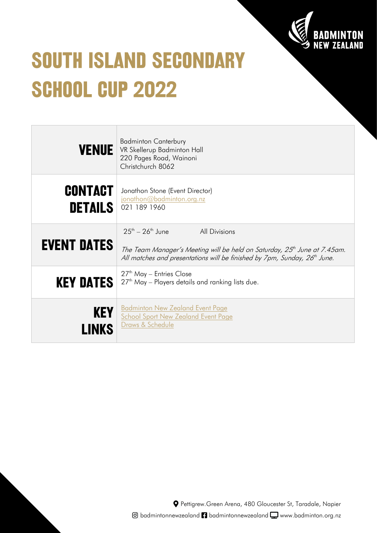

# **SOUTH ISLAND SECONDARY SCHOOL CUP 2022**

 $\overline{a}$ 

| <b>VENUE</b>              | <b>Badminton Canterbury</b><br>VR Skellerup Badminton Hall<br>220 Pages Road, Wainoni<br>Christchurch 8062                                                                                                                         |
|---------------------------|------------------------------------------------------------------------------------------------------------------------------------------------------------------------------------------------------------------------------------|
| CONTACT<br><b>DETAILS</b> | Jonathon Stone (Event Director)<br>jonathon@badminton.org.nz<br>021 189 1960                                                                                                                                                       |
| <b>EVENT DATES</b>        | $25^{th} - 26^{th}$ June<br><b>All Divisions</b><br>The Team Manager's Meeting will be held on Saturday, 25 <sup>th</sup> June at 7.45am.<br>All matches and presentations will be finished by 7pm, Sunday, 26 <sup>th</sup> June. |
| <b>KEY DATES</b>          | $27th$ May – Entries Close<br>27 <sup>th</sup> May – Players details and ranking lists due.                                                                                                                                        |
| <b>KEY</b>                | <b>Badminton New Zealand Event Page</b><br><b>School Sport New Zealand Event Page</b><br>Draws & Schedule                                                                                                                          |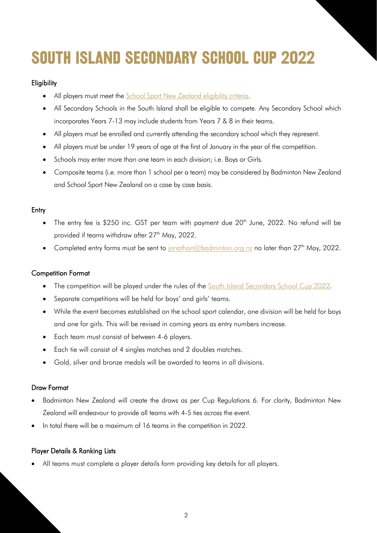## **SOUTH ISLAND SECONDARY SCHOOL CUP 2022**

### **Eligibility**

- All players must meet the **School Sport New Zealand eligibility criteria**.
- All Secondary Schools in the South Island shall be eligible to compete. Any Secondary School which incorporates Years 7-13 may include students from Years 7 & 8 in their teams.
- All players must be enrolled and currently attending the secondary school which they represent.
- All players must be under 19 years of age at the first of January in the year of the competition.
- Schools may enter more than one team in each division; i.e. Boys or Girls.
- Composite teams (i.e. more than 1 school per a team) may be considered by Badminton New Zealand and School Sport New Zealand on a case by case basis.

#### **Entry**

- The entry fee is \$250 inc. GST per team with payment due 20<sup>th</sup> June, 2022. No refund will be provided if teams withdraw after 27<sup>th</sup> May, 2022.
- Completed entry forms must be sent to [jonathon@badminton.org.nz](mailto:jonathon@badminton.org.nz) no later than 27<sup>th</sup> May, 2022.

#### Competition Format

- The competition will be played under the rules of the [South Island Secondary School Cup 2022.](https://badminton.org.nz/wp-content/uploads/2022/04/SISS2022-Regulations.pdf)
- Separate competitions will be held for boys' and girls' teams.
- While the event becomes established on the school sport calendar, one division will be held for boys and one for girls. This will be revised in coming years as entry numbers increase.
- Each team must consist of between 4-6 players.
- Each tie will consist of 4 singles matches and 2 doubles matches.
- Gold, silver and bronze medals will be awarded to teams in all divisions.

#### Draw Format

- Badminton New Zealand will create the draws as per Cup Regulations 6. For clarity, Badminton New Zealand will endeavour to provide all teams with 4-5 ties across the event.
- In total there will be a maximum of 16 teams in the competition in 2022.

#### Player Details & Ranking Lists

• All teams must complete a player details form providing key details for all players.